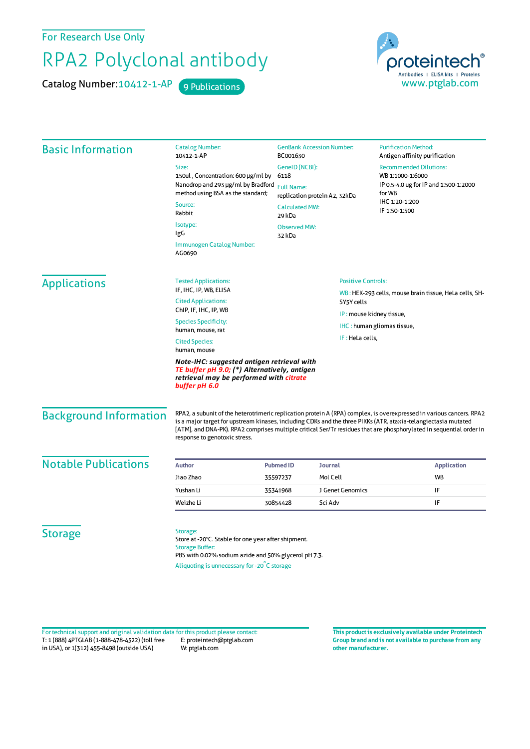For Research Use Only

## RPA2 Polyclonal antibody

Catalog Number: 10412-1-AP 9 Publications



| <b>Basic Information</b>                                                                                                                               | <b>Catalog Number:</b><br>10412-1-AP                                                                                                                                                                                                                                                                                                                                                           | <b>GenBank Accession Number:</b><br>BC001630<br>GeneID (NCBI):<br>6118<br><b>Full Name:</b><br>replication protein A2, 32kDa |                                                        | <b>Purification Method:</b><br>Antigen affinity purification                                         |         |
|--------------------------------------------------------------------------------------------------------------------------------------------------------|------------------------------------------------------------------------------------------------------------------------------------------------------------------------------------------------------------------------------------------------------------------------------------------------------------------------------------------------------------------------------------------------|------------------------------------------------------------------------------------------------------------------------------|--------------------------------------------------------|------------------------------------------------------------------------------------------------------|---------|
|                                                                                                                                                        | Size:                                                                                                                                                                                                                                                                                                                                                                                          |                                                                                                                              |                                                        | <b>Recommended Dilutions:</b><br>WB 1:1000-1:6000<br>IP 0.5-4.0 ug for IP and 1:500-1:2000<br>for WB |         |
|                                                                                                                                                        | 150ul, Concentration: 600 µg/ml by<br>Nanodrop and 293 µg/ml by Bradford<br>method using BSA as the standard;                                                                                                                                                                                                                                                                                  |                                                                                                                              |                                                        |                                                                                                      |         |
|                                                                                                                                                        |                                                                                                                                                                                                                                                                                                                                                                                                |                                                                                                                              |                                                        |                                                                                                      | Source: |
|                                                                                                                                                        | Rabbit                                                                                                                                                                                                                                                                                                                                                                                         | <b>Calculated MW:</b><br>29 kDa<br><b>Observed MW:</b>                                                                       |                                                        | IF 1:50-1:500                                                                                        |         |
|                                                                                                                                                        | Isotype:                                                                                                                                                                                                                                                                                                                                                                                       |                                                                                                                              |                                                        |                                                                                                      |         |
|                                                                                                                                                        | IgG<br>32 kDa                                                                                                                                                                                                                                                                                                                                                                                  |                                                                                                                              |                                                        |                                                                                                      |         |
|                                                                                                                                                        | Immunogen Catalog Number:<br>AG0690                                                                                                                                                                                                                                                                                                                                                            |                                                                                                                              |                                                        |                                                                                                      |         |
|                                                                                                                                                        | <b>Applications</b>                                                                                                                                                                                                                                                                                                                                                                            | <b>Tested Applications:</b>                                                                                                  | <b>Positive Controls:</b>                              |                                                                                                      |         |
| IF, IHC, IP, WB, ELISA                                                                                                                                 |                                                                                                                                                                                                                                                                                                                                                                                                |                                                                                                                              | WB: HEK-293 cells, mouse brain tissue, HeLa cells, SH- |                                                                                                      |         |
| <b>Cited Applications:</b><br>ChIP, IF, IHC, IP, WB                                                                                                    |                                                                                                                                                                                                                                                                                                                                                                                                | SY5Y cells                                                                                                                   | IP: mouse kidney tissue,                               |                                                                                                      |         |
| <b>Species Specificity:</b>                                                                                                                            |                                                                                                                                                                                                                                                                                                                                                                                                |                                                                                                                              |                                                        | IHC: human gliomas tissue,                                                                           |         |
| human, mouse, rat                                                                                                                                      |                                                                                                                                                                                                                                                                                                                                                                                                |                                                                                                                              |                                                        |                                                                                                      |         |
| IF: HeLa cells,<br><b>Cited Species:</b><br>human, mouse                                                                                               |                                                                                                                                                                                                                                                                                                                                                                                                |                                                                                                                              |                                                        |                                                                                                      |         |
| Note-IHC: suggested antigen retrieval with<br>TE buffer pH 9.0; (*) Alternatively, antigen<br>retrieval may be performed with citrate<br>buffer pH 6.0 |                                                                                                                                                                                                                                                                                                                                                                                                |                                                                                                                              |                                                        |                                                                                                      |         |
| <b>Background Information</b>                                                                                                                          | RPA2, a subunit of the heterotrimeric replication protein A (RPA) complex, is overexpressed in various cancers. RPA2<br>is a major target for upstream kinases, including CDKs and the three PIKKs (ATR, ataxia-telangiectasia mutated<br>[ATM], and DNA-PK). RPA2 comprises multiple critical Ser/Tr residues that are phosphorylated in sequential order in<br>response to genotoxic stress. |                                                                                                                              |                                                        |                                                                                                      |         |
| <b>Notable Publications</b>                                                                                                                            | <b>Author</b>                                                                                                                                                                                                                                                                                                                                                                                  | <b>Pubmed ID</b>                                                                                                             | <b>Journal</b>                                         | <b>Application</b>                                                                                   |         |
|                                                                                                                                                        | Jiao Zhao                                                                                                                                                                                                                                                                                                                                                                                      | 35597237                                                                                                                     | Mol Cell                                               | <b>WB</b>                                                                                            |         |
|                                                                                                                                                        | Yushan Li                                                                                                                                                                                                                                                                                                                                                                                      | 35341968                                                                                                                     | J Genet Genomics                                       | IF                                                                                                   |         |
|                                                                                                                                                        | Weizhe Li                                                                                                                                                                                                                                                                                                                                                                                      | 30854428                                                                                                                     | Sci Adv                                                | IF                                                                                                   |         |
| <b>Storage</b>                                                                                                                                         | Storage:                                                                                                                                                                                                                                                                                                                                                                                       |                                                                                                                              |                                                        |                                                                                                      |         |
|                                                                                                                                                        | Store at -20°C. Stable for one year after shipment.<br><b>Storage Buffer:</b><br>PBS with 0.02% sodium azide and 50% glycerol pH 7.3.                                                                                                                                                                                                                                                          |                                                                                                                              |                                                        |                                                                                                      |         |

Aliquoting is unnecessary for -20<sup>°</sup>C storage

T: 1 (888) 4PTGLAB (1-888-478-4522) (toll free in USA), or 1(312) 455-8498 (outside USA) E: proteintech@ptglab.com W: ptglab.com Fortechnical support and original validation data forthis product please contact: **This productis exclusively available under Proteintech**

**Group brand and is not available to purchase from any other manufacturer.**